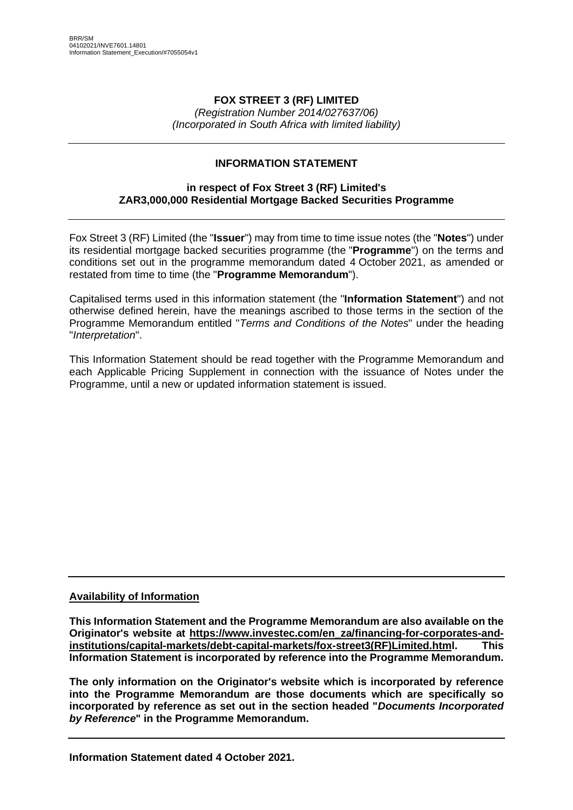### **FOX STREET 3 (RF) LIMITED**

*(Registration Number 2014/027637/06) (Incorporated in South Africa with limited liability)*

# **INFORMATION STATEMENT**

### **in respect of Fox Street 3 (RF) Limited's ZAR3,000,000 Residential Mortgage Backed Securities Programme**

Fox Street 3 (RF) Limited (the "**Issuer**") may from time to time issue notes (the "**Notes**") under its residential mortgage backed securities programme (the "**Programme**") on the terms and conditions set out in the programme memorandum dated 4 October 2021, as amended or restated from time to time (the "**Programme Memorandum**").

Capitalised terms used in this information statement (the "**Information Statement**") and not otherwise defined herein, have the meanings ascribed to those terms in the section of the Programme Memorandum entitled "*Terms and Conditions of the Notes*" under the heading "*Interpretation*".

This Information Statement should be read together with the Programme Memorandum and each Applicable Pricing Supplement in connection with the issuance of Notes under the Programme, until a new or updated information statement is issued.

### **Availability of Information**

**This Information Statement and the Programme Memorandum are also available on the Originator's website at [https://www.investec.com/en\\_za/financing-for-corporates-and](https://www.investec.com/en_za/financing-for-corporates-and-institutions/capital-markets/debt-capital-markets/fox-street3(RF)Limited.html)[institutions/capital-markets/debt-capital-markets/fox-street3\(RF\)Limited.html.](https://www.investec.com/en_za/financing-for-corporates-and-institutions/capital-markets/debt-capital-markets/fox-street3(RF)Limited.html) This Information Statement is incorporated by reference into the Programme Memorandum.**

**The only information on the Originator's website which is incorporated by reference into the Programme Memorandum are those documents which are specifically so incorporated by reference as set out in the section headed "***Documents Incorporated by Reference***" in the Programme Memorandum.**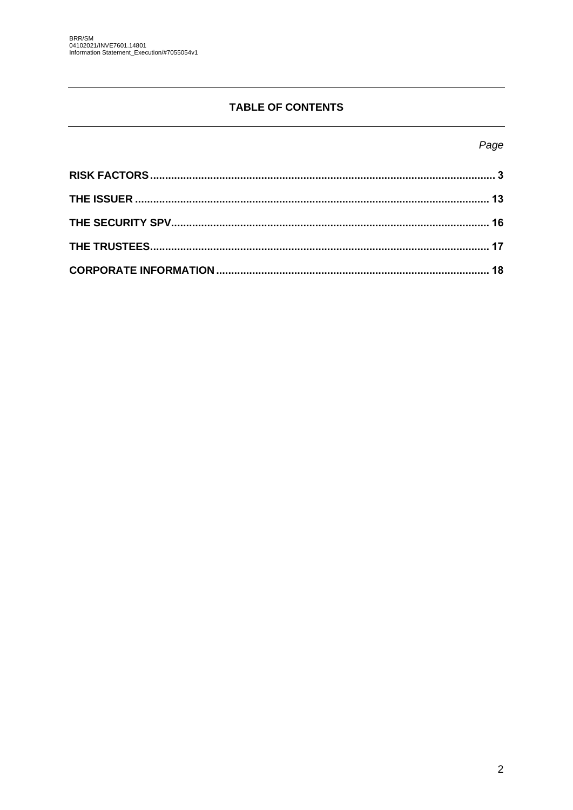# **TABLE OF CONTENTS**

# Page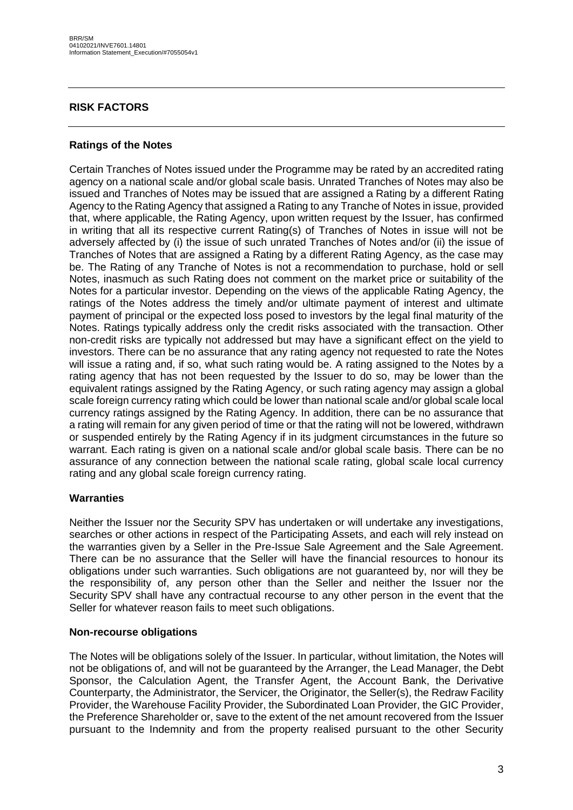### <span id="page-2-0"></span>**RISK FACTORS**

### **Ratings of the Notes**

Certain Tranches of Notes issued under the Programme may be rated by an accredited rating agency on a national scale and/or global scale basis. Unrated Tranches of Notes may also be issued and Tranches of Notes may be issued that are assigned a Rating by a different Rating Agency to the Rating Agency that assigned a Rating to any Tranche of Notes in issue, provided that, where applicable, the Rating Agency, upon written request by the Issuer, has confirmed in writing that all its respective current Rating(s) of Tranches of Notes in issue will not be adversely affected by (i) the issue of such unrated Tranches of Notes and/or (ii) the issue of Tranches of Notes that are assigned a Rating by a different Rating Agency, as the case may be. The Rating of any Tranche of Notes is not a recommendation to purchase, hold or sell Notes, inasmuch as such Rating does not comment on the market price or suitability of the Notes for a particular investor. Depending on the views of the applicable Rating Agency, the ratings of the Notes address the timely and/or ultimate payment of interest and ultimate payment of principal or the expected loss posed to investors by the legal final maturity of the Notes. Ratings typically address only the credit risks associated with the transaction. Other non-credit risks are typically not addressed but may have a significant effect on the yield to investors. There can be no assurance that any rating agency not requested to rate the Notes will issue a rating and, if so, what such rating would be. A rating assigned to the Notes by a rating agency that has not been requested by the Issuer to do so, may be lower than the equivalent ratings assigned by the Rating Agency, or such rating agency may assign a global scale foreign currency rating which could be lower than national scale and/or global scale local currency ratings assigned by the Rating Agency. In addition, there can be no assurance that a rating will remain for any given period of time or that the rating will not be lowered, withdrawn or suspended entirely by the Rating Agency if in its judgment circumstances in the future so warrant. Each rating is given on a national scale and/or global scale basis. There can be no assurance of any connection between the national scale rating, global scale local currency rating and any global scale foreign currency rating.

### **Warranties**

Neither the Issuer nor the Security SPV has undertaken or will undertake any investigations, searches or other actions in respect of the Participating Assets, and each will rely instead on the warranties given by a Seller in the Pre-Issue Sale Agreement and the Sale Agreement. There can be no assurance that the Seller will have the financial resources to honour its obligations under such warranties. Such obligations are not guaranteed by, nor will they be the responsibility of, any person other than the Seller and neither the Issuer nor the Security SPV shall have any contractual recourse to any other person in the event that the Seller for whatever reason fails to meet such obligations.

#### **Non-recourse obligations**

The Notes will be obligations solely of the Issuer. In particular, without limitation, the Notes will not be obligations of, and will not be guaranteed by the Arranger, the Lead Manager, the Debt Sponsor, the Calculation Agent, the Transfer Agent, the Account Bank, the Derivative Counterparty, the Administrator, the Servicer, the Originator, the Seller(s), the Redraw Facility Provider, the Warehouse Facility Provider, the Subordinated Loan Provider, the GIC Provider, the Preference Shareholder or, save to the extent of the net amount recovered from the Issuer pursuant to the Indemnity and from the property realised pursuant to the other Security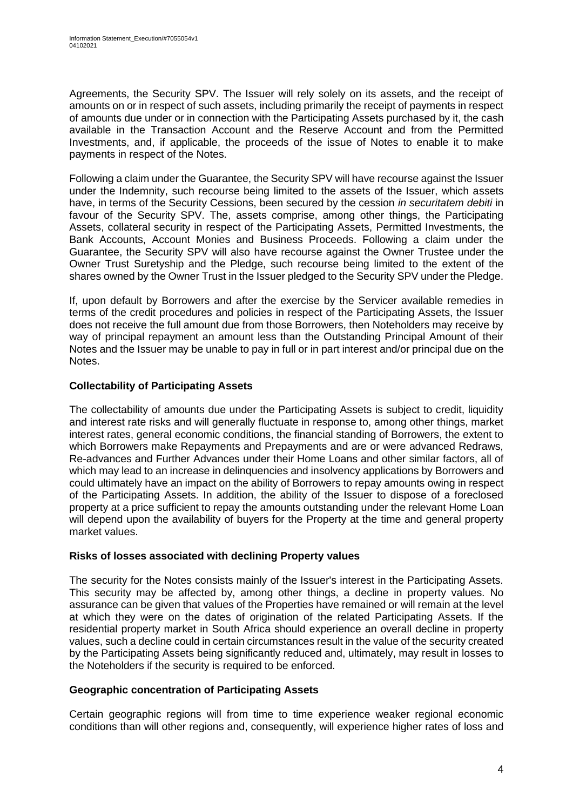Agreements, the Security SPV. The Issuer will rely solely on its assets, and the receipt of amounts on or in respect of such assets, including primarily the receipt of payments in respect of amounts due under or in connection with the Participating Assets purchased by it, the cash available in the Transaction Account and the Reserve Account and from the Permitted Investments, and, if applicable, the proceeds of the issue of Notes to enable it to make payments in respect of the Notes.

Following a claim under the Guarantee, the Security SPV will have recourse against the Issuer under the Indemnity, such recourse being limited to the assets of the Issuer, which assets have, in terms of the Security Cessions, been secured by the cession *in securitatem debiti* in favour of the Security SPV. The, assets comprise, among other things, the Participating Assets, collateral security in respect of the Participating Assets, Permitted Investments, the Bank Accounts, Account Monies and Business Proceeds. Following a claim under the Guarantee, the Security SPV will also have recourse against the Owner Trustee under the Owner Trust Suretyship and the Pledge, such recourse being limited to the extent of the shares owned by the Owner Trust in the Issuer pledged to the Security SPV under the Pledge.

If, upon default by Borrowers and after the exercise by the Servicer available remedies in terms of the credit procedures and policies in respect of the Participating Assets, the Issuer does not receive the full amount due from those Borrowers, then Noteholders may receive by way of principal repayment an amount less than the Outstanding Principal Amount of their Notes and the Issuer may be unable to pay in full or in part interest and/or principal due on the Notes.

# **Collectability of Participating Assets**

The collectability of amounts due under the Participating Assets is subject to credit, liquidity and interest rate risks and will generally fluctuate in response to, among other things, market interest rates, general economic conditions, the financial standing of Borrowers, the extent to which Borrowers make Repayments and Prepayments and are or were advanced Redraws, Re-advances and Further Advances under their Home Loans and other similar factors, all of which may lead to an increase in delinquencies and insolvency applications by Borrowers and could ultimately have an impact on the ability of Borrowers to repay amounts owing in respect of the Participating Assets. In addition, the ability of the Issuer to dispose of a foreclosed property at a price sufficient to repay the amounts outstanding under the relevant Home Loan will depend upon the availability of buyers for the Property at the time and general property market values.

### **Risks of losses associated with declining Property values**

The security for the Notes consists mainly of the Issuer's interest in the Participating Assets. This security may be affected by, among other things, a decline in property values. No assurance can be given that values of the Properties have remained or will remain at the level at which they were on the dates of origination of the related Participating Assets. If the residential property market in South Africa should experience an overall decline in property values, such a decline could in certain circumstances result in the value of the security created by the Participating Assets being significantly reduced and, ultimately, may result in losses to the Noteholders if the security is required to be enforced.

### **Geographic concentration of Participating Assets**

Certain geographic regions will from time to time experience weaker regional economic conditions than will other regions and, consequently, will experience higher rates of loss and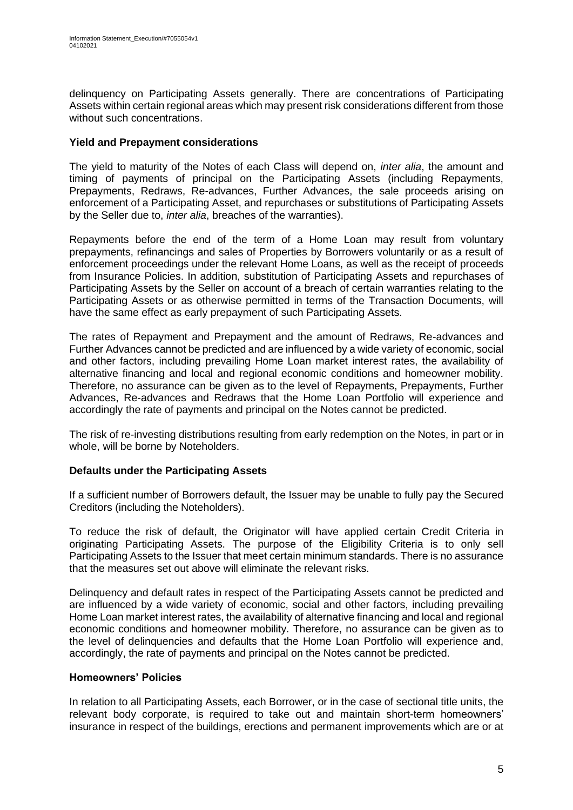delinquency on Participating Assets generally. There are concentrations of Participating Assets within certain regional areas which may present risk considerations different from those without such concentrations.

### **Yield and Prepayment considerations**

The yield to maturity of the Notes of each Class will depend on, *inter alia*, the amount and timing of payments of principal on the Participating Assets (including Repayments, Prepayments, Redraws, Re-advances, Further Advances, the sale proceeds arising on enforcement of a Participating Asset, and repurchases or substitutions of Participating Assets by the Seller due to, *inter alia*, breaches of the warranties).

Repayments before the end of the term of a Home Loan may result from voluntary prepayments, refinancings and sales of Properties by Borrowers voluntarily or as a result of enforcement proceedings under the relevant Home Loans, as well as the receipt of proceeds from Insurance Policies. In addition, substitution of Participating Assets and repurchases of Participating Assets by the Seller on account of a breach of certain warranties relating to the Participating Assets or as otherwise permitted in terms of the Transaction Documents, will have the same effect as early prepayment of such Participating Assets.

The rates of Repayment and Prepayment and the amount of Redraws, Re-advances and Further Advances cannot be predicted and are influenced by a wide variety of economic, social and other factors, including prevailing Home Loan market interest rates, the availability of alternative financing and local and regional economic conditions and homeowner mobility. Therefore, no assurance can be given as to the level of Repayments, Prepayments, Further Advances, Re-advances and Redraws that the Home Loan Portfolio will experience and accordingly the rate of payments and principal on the Notes cannot be predicted.

The risk of re-investing distributions resulting from early redemption on the Notes, in part or in whole, will be borne by Noteholders.

### **Defaults under the Participating Assets**

If a sufficient number of Borrowers default, the Issuer may be unable to fully pay the Secured Creditors (including the Noteholders).

To reduce the risk of default, the Originator will have applied certain Credit Criteria in originating Participating Assets. The purpose of the Eligibility Criteria is to only sell Participating Assets to the Issuer that meet certain minimum standards. There is no assurance that the measures set out above will eliminate the relevant risks.

Delinquency and default rates in respect of the Participating Assets cannot be predicted and are influenced by a wide variety of economic, social and other factors, including prevailing Home Loan market interest rates, the availability of alternative financing and local and regional economic conditions and homeowner mobility. Therefore, no assurance can be given as to the level of delinquencies and defaults that the Home Loan Portfolio will experience and, accordingly, the rate of payments and principal on the Notes cannot be predicted.

### **Homeowners' Policies**

In relation to all Participating Assets, each Borrower, or in the case of sectional title units, the relevant body corporate, is required to take out and maintain short-term homeowners' insurance in respect of the buildings, erections and permanent improvements which are or at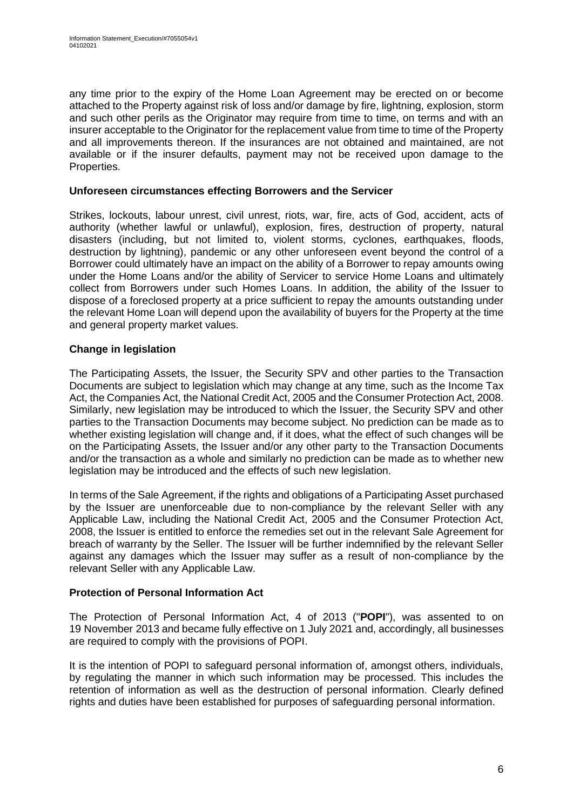any time prior to the expiry of the Home Loan Agreement may be erected on or become attached to the Property against risk of loss and/or damage by fire, lightning, explosion, storm and such other perils as the Originator may require from time to time, on terms and with an insurer acceptable to the Originator for the replacement value from time to time of the Property and all improvements thereon. If the insurances are not obtained and maintained, are not available or if the insurer defaults, payment may not be received upon damage to the Properties.

### **Unforeseen circumstances effecting Borrowers and the Servicer**

Strikes, lockouts, labour unrest, civil unrest, riots, war, fire, acts of God, accident, acts of authority (whether lawful or unlawful), explosion, fires, destruction of property, natural disasters (including, but not limited to, violent storms, cyclones, earthquakes, floods, destruction by lightning), pandemic or any other unforeseen event beyond the control of a Borrower could ultimately have an impact on the ability of a Borrower to repay amounts owing under the Home Loans and/or the ability of Servicer to service Home Loans and ultimately collect from Borrowers under such Homes Loans. In addition, the ability of the Issuer to dispose of a foreclosed property at a price sufficient to repay the amounts outstanding under the relevant Home Loan will depend upon the availability of buyers for the Property at the time and general property market values.

# **Change in legislation**

The Participating Assets, the Issuer, the Security SPV and other parties to the Transaction Documents are subject to legislation which may change at any time, such as the Income Tax Act, the Companies Act, the National Credit Act, 2005 and the Consumer Protection Act, 2008. Similarly, new legislation may be introduced to which the Issuer, the Security SPV and other parties to the Transaction Documents may become subject. No prediction can be made as to whether existing legislation will change and, if it does, what the effect of such changes will be on the Participating Assets, the Issuer and/or any other party to the Transaction Documents and/or the transaction as a whole and similarly no prediction can be made as to whether new legislation may be introduced and the effects of such new legislation.

In terms of the Sale Agreement, if the rights and obligations of a Participating Asset purchased by the Issuer are unenforceable due to non-compliance by the relevant Seller with any Applicable Law, including the National Credit Act, 2005 and the Consumer Protection Act, 2008, the Issuer is entitled to enforce the remedies set out in the relevant Sale Agreement for breach of warranty by the Seller. The Issuer will be further indemnified by the relevant Seller against any damages which the Issuer may suffer as a result of non-compliance by the relevant Seller with any Applicable Law.

# **Protection of Personal Information Act**

The Protection of Personal Information Act, 4 of 2013 ("**POPI**"), was assented to on 19 November 2013 and became fully effective on 1 July 2021 and, accordingly, all businesses are required to comply with the provisions of POPI.

It is the intention of POPI to safeguard personal information of, amongst others, individuals, by regulating the manner in which such information may be processed. This includes the retention of information as well as the destruction of personal information. Clearly defined rights and duties have been established for purposes of safeguarding personal information.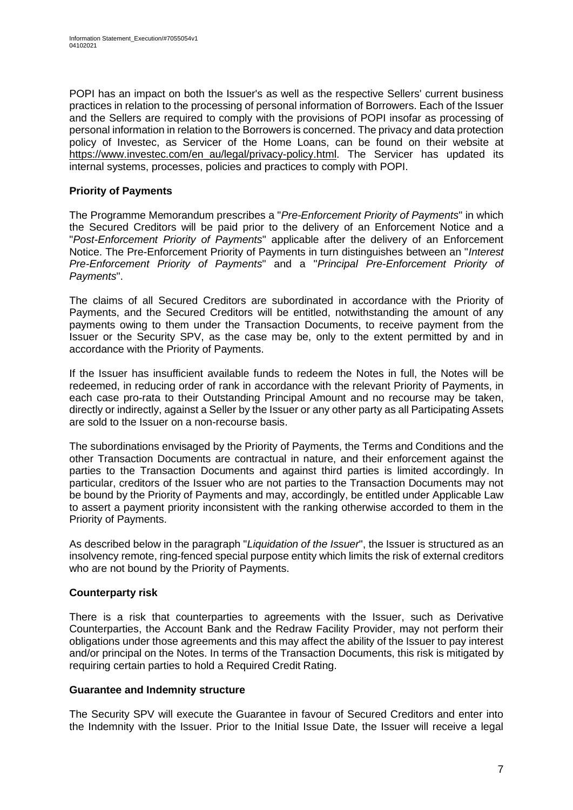POPI has an impact on both the Issuer's as well as the respective Sellers' current business practices in relation to the processing of personal information of Borrowers. Each of the Issuer and the Sellers are required to comply with the provisions of POPI insofar as processing of personal information in relation to the Borrowers is concerned. The privacy and data protection policy of Investec, as Servicer of the Home Loans, can be found on their website at [https://www.investec.com/en\\_au/legal/privacy-policy.html.](https://www.investec.com/en_au/legal/privacy-policy.html) The Servicer has updated its internal systems, processes, policies and practices to comply with POPI.

# **Priority of Payments**

The Programme Memorandum prescribes a "*Pre-Enforcement Priority of Payments*" in which the Secured Creditors will be paid prior to the delivery of an Enforcement Notice and a "*Post-Enforcement Priority of Payments*" applicable after the delivery of an Enforcement Notice. The Pre-Enforcement Priority of Payments in turn distinguishes between an "*Interest Pre-Enforcement Priority of Payments*" and a "*Principal Pre-Enforcement Priority of Payments*".

The claims of all Secured Creditors are subordinated in accordance with the Priority of Payments, and the Secured Creditors will be entitled, notwithstanding the amount of any payments owing to them under the Transaction Documents, to receive payment from the Issuer or the Security SPV, as the case may be, only to the extent permitted by and in accordance with the Priority of Payments.

If the Issuer has insufficient available funds to redeem the Notes in full, the Notes will be redeemed, in reducing order of rank in accordance with the relevant Priority of Payments, in each case pro-rata to their Outstanding Principal Amount and [no recourse](https://www.lawinsider.com/clause/no-recourse) may be [taken,](https://www.lawinsider.com/clause/taken) [directly or indirectly,](https://www.lawinsider.com/clause/directly-or-indirectly) against a Seller by the Issuer or any other party as all Participating Assets are sold to the Issuer on a non-recourse basis.

The subordinations envisaged by the Priority of Payments, the Terms and Conditions and the other Transaction Documents are contractual in nature, and their enforcement against the parties to the Transaction Documents and against third parties is limited accordingly. In particular, creditors of the Issuer who are not parties to the Transaction Documents may not be bound by the Priority of Payments and may, accordingly, be entitled under Applicable Law to assert a payment priority inconsistent with the ranking otherwise accorded to them in the Priority of Payments.

As described below in the paragraph "*Liquidation of the Issuer*", the Issuer is structured as an insolvency remote, ring-fenced special purpose entity which limits the risk of external creditors who are not bound by the Priority of Payments.

# **Counterparty risk**

There is a risk that counterparties to agreements with the Issuer, such as Derivative Counterparties, the Account Bank and the Redraw Facility Provider, may not perform their obligations under those agreements and this may affect the ability of the Issuer to pay interest and/or principal on the Notes. In terms of the Transaction Documents, this risk is mitigated by requiring certain parties to hold a Required Credit Rating.

### **Guarantee and Indemnity structure**

The Security SPV will execute the Guarantee in favour of Secured Creditors and enter into the Indemnity with the Issuer. Prior to the Initial Issue Date, the Issuer will receive a legal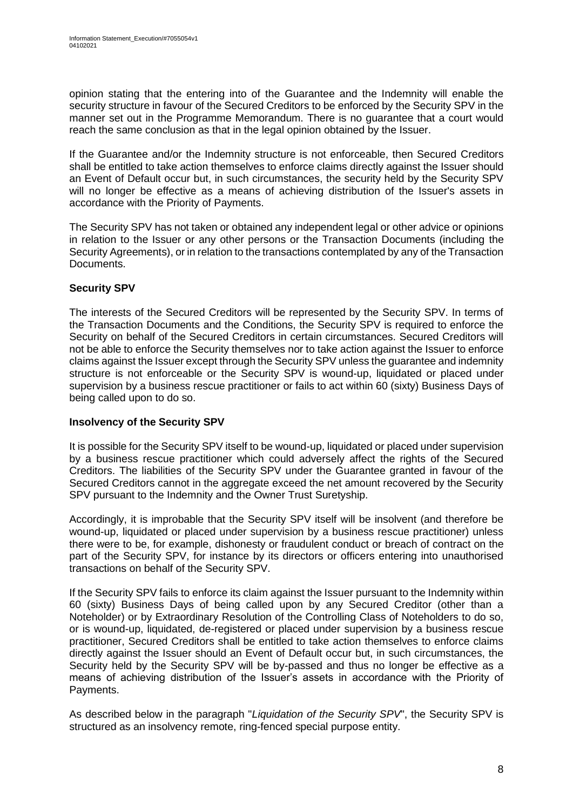opinion stating that the entering into of the Guarantee and the Indemnity will enable the security structure in favour of the Secured Creditors to be enforced by the Security SPV in the manner set out in the Programme Memorandum. There is no guarantee that a court would reach the same conclusion as that in the legal opinion obtained by the Issuer.

If the Guarantee and/or the Indemnity structure is not enforceable, then Secured Creditors shall be entitled to take action themselves to enforce claims directly against the Issuer should an Event of Default occur but, in such circumstances, the security held by the Security SPV will no longer be effective as a means of achieving distribution of the Issuer's assets in accordance with the Priority of Payments.

The Security SPV has not taken or obtained any independent legal or other advice or opinions in relation to the Issuer or any other persons or the Transaction Documents (including the Security Agreements), or in relation to the transactions contemplated by any of the Transaction Documents.

# **Security SPV**

The interests of the Secured Creditors will be represented by the Security SPV. In terms of the Transaction Documents and the Conditions, the Security SPV is required to enforce the Security on behalf of the Secured Creditors in certain circumstances. Secured Creditors will not be able to enforce the Security themselves nor to take action against the Issuer to enforce claims against the Issuer except through the Security SPV unless the guarantee and indemnity structure is not enforceable or the Security SPV is wound-up, liquidated or placed under supervision by a business rescue practitioner or fails to act within 60 (sixty) Business Days of being called upon to do so.

# **Insolvency of the Security SPV**

It is possible for the Security SPV itself to be wound-up, liquidated or placed under supervision by a business rescue practitioner which could adversely affect the rights of the Secured Creditors. The liabilities of the Security SPV under the Guarantee granted in favour of the Secured Creditors cannot in the aggregate exceed the net amount recovered by the Security SPV pursuant to the Indemnity and the Owner Trust Suretyship.

Accordingly, it is improbable that the Security SPV itself will be insolvent (and therefore be wound-up, liquidated or placed under supervision by a business rescue practitioner) unless there were to be, for example, dishonesty or fraudulent conduct or breach of contract on the part of the Security SPV, for instance by its directors or officers entering into unauthorised transactions on behalf of the Security SPV.

If the Security SPV fails to enforce its claim against the Issuer pursuant to the Indemnity within 60 (sixty) Business Days of being called upon by any Secured Creditor (other than a Noteholder) or by Extraordinary Resolution of the Controlling Class of Noteholders to do so, or is wound-up, liquidated, de-registered or placed under supervision by a business rescue practitioner, Secured Creditors shall be entitled to take action themselves to enforce claims directly against the Issuer should an Event of Default occur but, in such circumstances, the Security held by the Security SPV will be by-passed and thus no longer be effective as a means of achieving distribution of the Issuer's assets in accordance with the Priority of Payments.

As described below in the paragraph "*Liquidation of the Security SPV*", the Security SPV is structured as an insolvency remote, ring-fenced special purpose entity.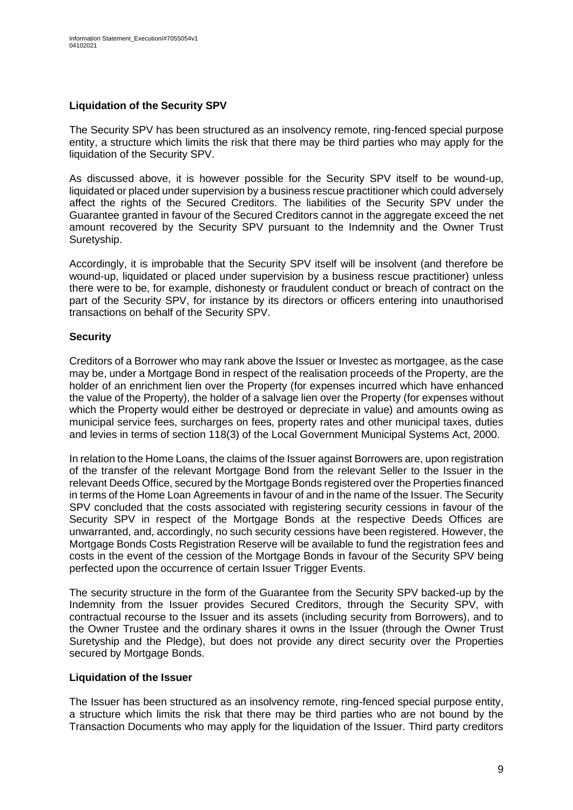### **Liquidation of the Security SPV**

The Security SPV has been structured as an insolvency remote, ring-fenced special purpose entity, a structure which limits the risk that there may be third parties who may apply for the liquidation of the Security SPV.

As discussed above, it is however possible for the Security SPV itself to be wound-up, liquidated or placed under supervision by a business rescue practitioner which could adversely affect the rights of the Secured Creditors. The liabilities of the Security SPV under the Guarantee granted in favour of the Secured Creditors cannot in the aggregate exceed the net amount recovered by the Security SPV pursuant to the Indemnity and the Owner Trust Suretyship.

Accordingly, it is improbable that the Security SPV itself will be insolvent (and therefore be wound-up, liquidated or placed under supervision by a business rescue practitioner) unless there were to be, for example, dishonesty or fraudulent conduct or breach of contract on the part of the Security SPV, for instance by its directors or officers entering into unauthorised transactions on behalf of the Security SPV.

### **Security**

Creditors of a Borrower who may rank above the Issuer or Investec as mortgagee, as the case may be, under a Mortgage Bond in respect of the realisation proceeds of the Property, are the holder of an enrichment lien over the Property (for expenses incurred which have enhanced the value of the Property), the holder of a salvage lien over the Property (for expenses without which the Property would either be destroyed or depreciate in value) and amounts owing as municipal service fees, surcharges on fees, property rates and other municipal taxes, duties and levies in terms of section 118(3) of the Local Government Municipal Systems Act, 2000.

In relation to the Home Loans, the claims of the Issuer against Borrowers are, upon registration of the transfer of the relevant Mortgage Bond from the relevant Seller to the Issuer in the relevant Deeds Office, secured by the Mortgage Bonds registered over the Properties financed in terms of the Home Loan Agreements in favour of and in the name of the Issuer. The Security SPV concluded that the costs associated with registering security cessions in favour of the Security SPV in respect of the Mortgage Bonds at the respective Deeds Offices are unwarranted, and, accordingly, no such security cessions have been registered. However, the Mortgage Bonds Costs Registration Reserve will be available to fund the registration fees and costs in the event of the cession of the Mortgage Bonds in favour of the Security SPV being perfected upon the occurrence of certain Issuer Trigger Events.

The security structure in the form of the Guarantee from the Security SPV backed-up by the Indemnity from the Issuer provides Secured Creditors, through the Security SPV, with contractual recourse to the Issuer and its assets (including security from Borrowers), and to the Owner Trustee and the ordinary shares it owns in the Issuer (through the Owner Trust Suretyship and the Pledge), but does not provide any direct security over the Properties secured by Mortgage Bonds.

### **Liquidation of the Issuer**

The Issuer has been structured as an insolvency remote, ring-fenced special purpose entity, a structure which limits the risk that there may be third parties who are not bound by the Transaction Documents who may apply for the liquidation of the Issuer. Third party creditors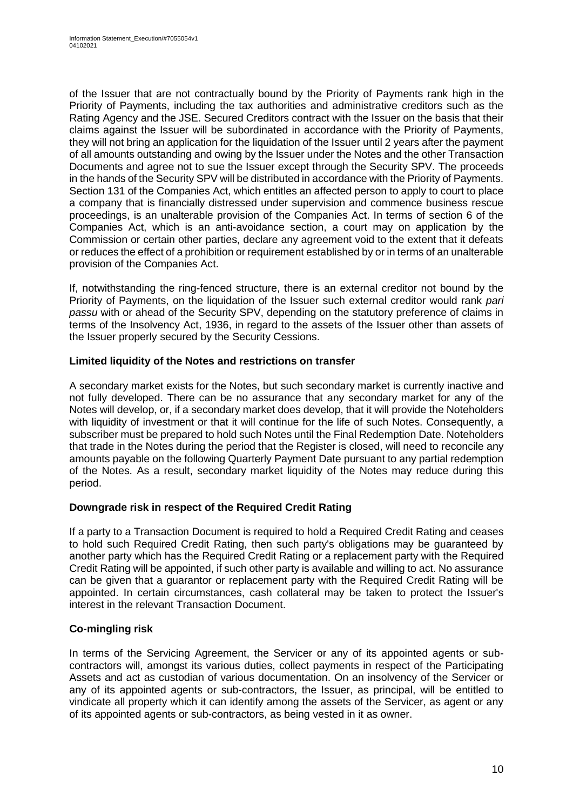of the Issuer that are not contractually bound by the Priority of Payments rank high in the Priority of Payments, including the tax authorities and administrative creditors such as the Rating Agency and the JSE. Secured Creditors contract with the Issuer on the basis that their claims against the Issuer will be subordinated in accordance with the Priority of Payments, they will not bring an application for the liquidation of the Issuer until 2 years after the payment of all amounts outstanding and owing by the Issuer under the Notes and the other Transaction Documents and agree not to sue the Issuer except through the Security SPV. The proceeds in the hands of the Security SPV will be distributed in accordance with the Priority of Payments. Section 131 of the Companies Act, which entitles an affected person to apply to court to place a company that is financially distressed under supervision and commence business rescue proceedings, is an unalterable provision of the Companies Act. In terms of section 6 of the Companies Act, which is an anti-avoidance section, a court may on application by the Commission or certain other parties, declare any agreement void to the extent that it defeats or reduces the effect of a prohibition or requirement established by or in terms of an unalterable provision of the Companies Act.

If, notwithstanding the ring-fenced structure, there is an external creditor not bound by the Priority of Payments, on the liquidation of the Issuer such external creditor would rank *pari passu* with or ahead of the Security SPV, depending on the statutory preference of claims in terms of the Insolvency Act, 1936, in regard to the assets of the Issuer other than assets of the Issuer properly secured by the Security Cessions.

### **Limited liquidity of the Notes and restrictions on transfer**

A secondary market exists for the Notes, but such secondary market is currently inactive and not fully developed. There can be no assurance that any secondary market for any of the Notes will develop, or, if a secondary market does develop, that it will provide the Noteholders with liquidity of investment or that it will continue for the life of such Notes. Consequently, a subscriber must be prepared to hold such Notes until the Final Redemption Date. Noteholders that trade in the Notes during the period that the Register is closed, will need to reconcile any amounts payable on the following Quarterly Payment Date pursuant to any partial redemption of the Notes. As a result, secondary market liquidity of the Notes may reduce during this period.

# **Downgrade risk in respect of the Required Credit Rating**

If a party to a Transaction Document is required to hold a Required Credit Rating and ceases to hold such Required Credit Rating, then such party's obligations may be guaranteed by another party which has the Required Credit Rating or a replacement party with the Required Credit Rating will be appointed, if such other party is available and willing to act. No assurance can be given that a guarantor or replacement party with the Required Credit Rating will be appointed. In certain circumstances, cash collateral may be taken to protect the Issuer's interest in the relevant Transaction Document.

# **Co-mingling risk**

In terms of the Servicing Agreement, the Servicer or any of its appointed agents or subcontractors will, amongst its various duties, collect payments in respect of the Participating Assets and act as custodian of various documentation. On an insolvency of the Servicer or any of its appointed agents or sub-contractors, the Issuer, as principal, will be entitled to vindicate all property which it can identify among the assets of the Servicer, as agent or any of its appointed agents or sub-contractors, as being vested in it as owner.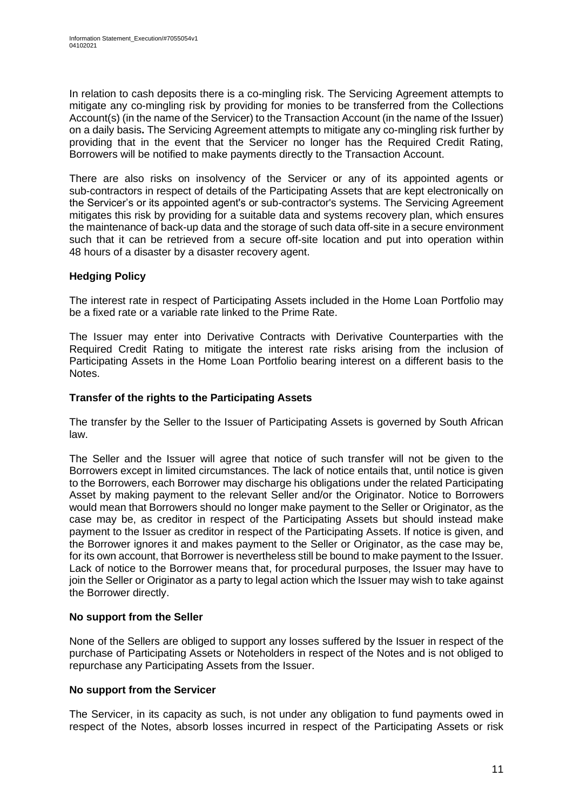In relation to cash deposits there is a co-mingling risk. The Servicing Agreement attempts to mitigate any co-mingling risk by providing for monies to be transferred from the Collections Account(s) (in the name of the Servicer) to the Transaction Account (in the name of the Issuer) on a daily basis**.** The Servicing Agreement attempts to mitigate any co-mingling risk further by providing that in the event that the Servicer no longer has the Required Credit Rating, Borrowers will be notified to make payments directly to the Transaction Account.

There are also risks on insolvency of the Servicer or any of its appointed agents or sub-contractors in respect of details of the Participating Assets that are kept electronically on the Servicer's or its appointed agent's or sub-contractor's systems. The Servicing Agreement mitigates this risk by providing for a suitable data and systems recovery plan, which ensures the maintenance of back-up data and the storage of such data off-site in a secure environment such that it can be retrieved from a secure off-site location and put into operation within 48 hours of a disaster by a disaster recovery agent.

# **Hedging Policy**

The interest rate in respect of Participating Assets included in the Home Loan Portfolio may be a fixed rate or a variable rate linked to the Prime Rate.

The Issuer may enter into Derivative Contracts with Derivative Counterparties with the Required Credit Rating to mitigate the interest rate risks arising from the inclusion of Participating Assets in the Home Loan Portfolio bearing interest on a different basis to the Notes.

### **Transfer of the rights to the Participating Assets**

The transfer by the Seller to the Issuer of Participating Assets is governed by South African law.

The Seller and the Issuer will agree that notice of such transfer will not be given to the Borrowers except in limited circumstances. The lack of notice entails that, until notice is given to the Borrowers, each Borrower may discharge his obligations under the related Participating Asset by making payment to the relevant Seller and/or the Originator. Notice to Borrowers would mean that Borrowers should no longer make payment to the Seller or Originator, as the case may be, as creditor in respect of the Participating Assets but should instead make payment to the Issuer as creditor in respect of the Participating Assets. If notice is given, and the Borrower ignores it and makes payment to the Seller or Originator, as the case may be, for its own account, that Borrower is nevertheless still be bound to make payment to the Issuer. Lack of notice to the Borrower means that, for procedural purposes, the Issuer may have to join the Seller or Originator as a party to legal action which the Issuer may wish to take against the Borrower directly.

### **No support from the Seller**

None of the Sellers are obliged to support any losses suffered by the Issuer in respect of the purchase of Participating Assets or Noteholders in respect of the Notes and is not obliged to repurchase any Participating Assets from the Issuer.

### **No support from the Servicer**

The Servicer, in its capacity as such, is not under any obligation to fund payments owed in respect of the Notes, absorb losses incurred in respect of the Participating Assets or risk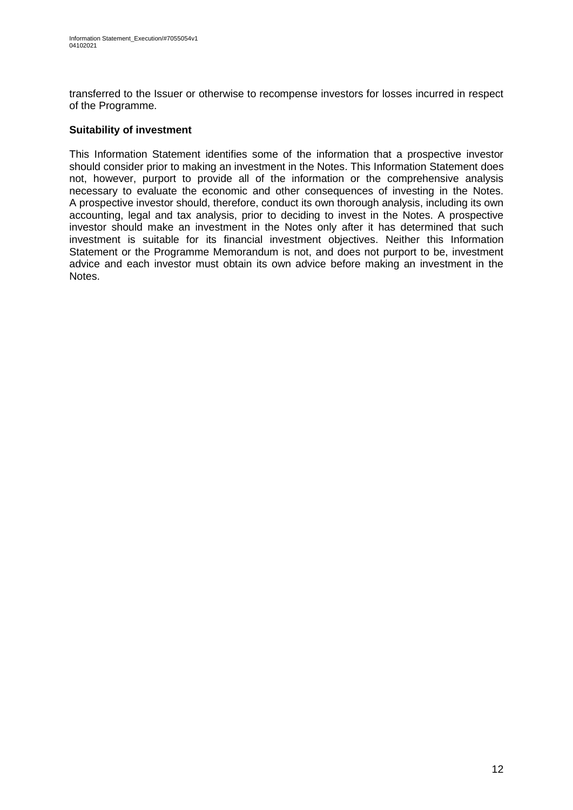transferred to the Issuer or otherwise to recompense investors for losses incurred in respect of the Programme.

### **Suitability of investment**

This Information Statement identifies some of the information that a prospective investor should consider prior to making an investment in the Notes. This Information Statement does not, however, purport to provide all of the information or the comprehensive analysis necessary to evaluate the economic and other consequences of investing in the Notes. A prospective investor should, therefore, conduct its own thorough analysis, including its own accounting, legal and tax analysis, prior to deciding to invest in the Notes. A prospective investor should make an investment in the Notes only after it has determined that such investment is suitable for its financial investment objectives. Neither this Information Statement or the Programme Memorandum is not, and does not purport to be, investment advice and each investor must obtain its own advice before making an investment in the Notes.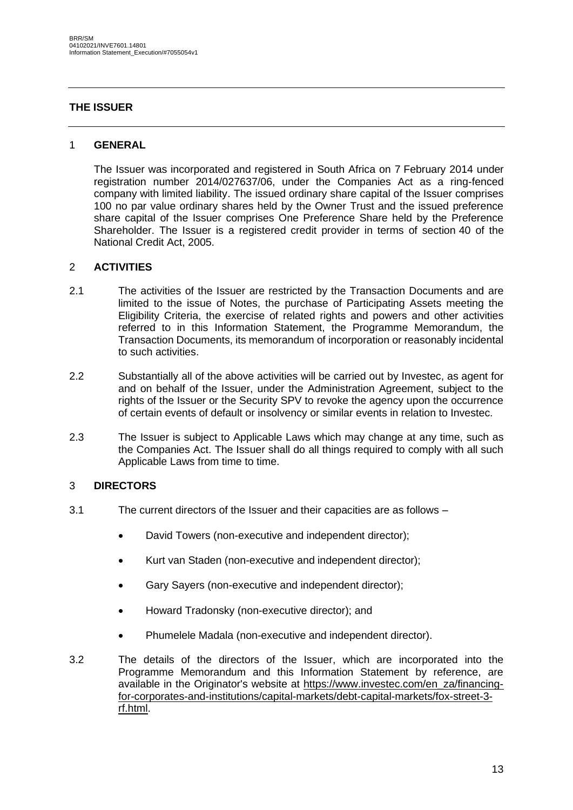### <span id="page-12-0"></span>**THE ISSUER**

### 1 **GENERAL**

The Issuer was incorporated and registered in South Africa on 7 February 2014 under registration number 2014/027637/06, under the Companies Act as a ring-fenced company with limited liability. The issued ordinary share capital of the Issuer comprises 100 no par value ordinary shares held by the Owner Trust and the issued preference share capital of the Issuer comprises One Preference Share held by the Preference Shareholder. The Issuer is a registered credit provider in terms of section 40 of the National Credit Act, 2005.

### 2 **ACTIVITIES**

- 2.1 The activities of the Issuer are restricted by the Transaction Documents and are limited to the issue of Notes, the purchase of Participating Assets meeting the Eligibility Criteria, the exercise of related rights and powers and other activities referred to in this Information Statement, the Programme Memorandum, the Transaction Documents, its memorandum of incorporation or reasonably incidental to such activities.
- 2.2 Substantially all of the above activities will be carried out by Investec, as agent for and on behalf of the Issuer, under the Administration Agreement, subject to the rights of the Issuer or the Security SPV to revoke the agency upon the occurrence of certain events of default or insolvency or similar events in relation to Investec.
- 2.3 The Issuer is subject to Applicable Laws which may change at any time, such as the Companies Act. The Issuer shall do all things required to comply with all such Applicable Laws from time to time.

### 3 **DIRECTORS**

- 3.1 The current directors of the Issuer and their capacities are as follows
	- David Towers (non-executive and independent director);
	- Kurt van Staden (non-executive and independent director);
	- Gary Sayers (non-executive and independent director);
	- Howard Tradonsky (non-executive director); and
	- Phumelele Madala (non-executive and independent director).
- 3.2 The details of the directors of the Issuer, which are incorporated into the Programme Memorandum and this Information Statement by reference, are available in the Originator's website at [https://www.investec.com/en\\_za/financing](https://www.investec.com/en_za/financing-for-corporates-and-institutions/capital-markets/debt-capital-markets/fox-street-3-rf.html)[for-corporates-and-institutions/capital-markets/debt-capital-markets/fox-street-3](https://www.investec.com/en_za/financing-for-corporates-and-institutions/capital-markets/debt-capital-markets/fox-street-3-rf.html) [rf.html.](https://www.investec.com/en_za/financing-for-corporates-and-institutions/capital-markets/debt-capital-markets/fox-street-3-rf.html)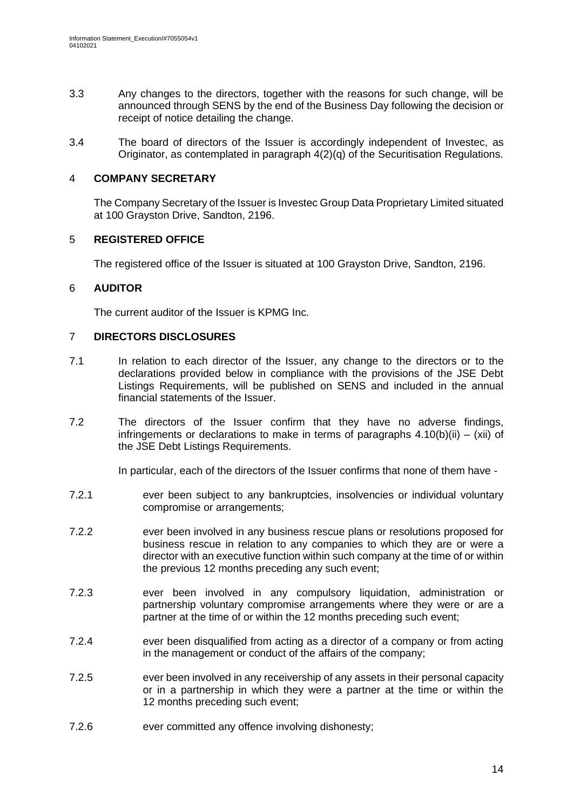- 3.3 Any changes to the directors, together with the reasons for such change, will be announced through SENS by the end of the Business Day following the decision or receipt of notice detailing the change.
- 3.4 The board of directors of the Issuer is accordingly independent of Investec, as Originator, as contemplated in paragraph 4(2)(q) of the Securitisation Regulations.

### 4 **COMPANY SECRETARY**

The Company Secretary of the Issuer is Investec Group Data Proprietary Limited situated at 100 Grayston Drive, Sandton, 2196.

### 5 **REGISTERED OFFICE**

The registered office of the Issuer is situated at 100 Grayston Drive, Sandton, 2196.

### 6 **AUDITOR**

The current auditor of the Issuer is KPMG Inc.

### 7 **DIRECTORS DISCLOSURES**

- 7.1 In relation to each director of the Issuer, any change to the directors or to the declarations provided below in compliance with the provisions of the JSE Debt Listings Requirements, will be published on SENS and included in the annual financial statements of the Issuer.
- 7.2 The directors of the Issuer confirm that they have no adverse findings, infringements or declarations to make in terms of paragraphs  $4.10(b)(ii) - (xii)$  of the JSE Debt Listings Requirements.

In particular, each of the directors of the Issuer confirms that none of them have -

- 7.2.1 ever been subject to any bankruptcies, insolvencies or individual voluntary compromise or arrangements;
- 7.2.2 ever been involved in any business rescue plans or resolutions proposed for business rescue in relation to any companies to which they are or were a director with an executive function within such company at the time of or within the previous 12 months preceding any such event;
- 7.2.3 ever been involved in any compulsory liquidation, administration or partnership voluntary compromise arrangements where they were or are a partner at the time of or within the 12 months preceding such event;
- 7.2.4 ever been disqualified from acting as a director of a company or from acting in the management or conduct of the affairs of the company;
- 7.2.5 ever been involved in any receivership of any assets in their personal capacity or in a partnership in which they were a partner at the time or within the 12 months preceding such event;
- 7.2.6 ever committed any offence involving dishonesty;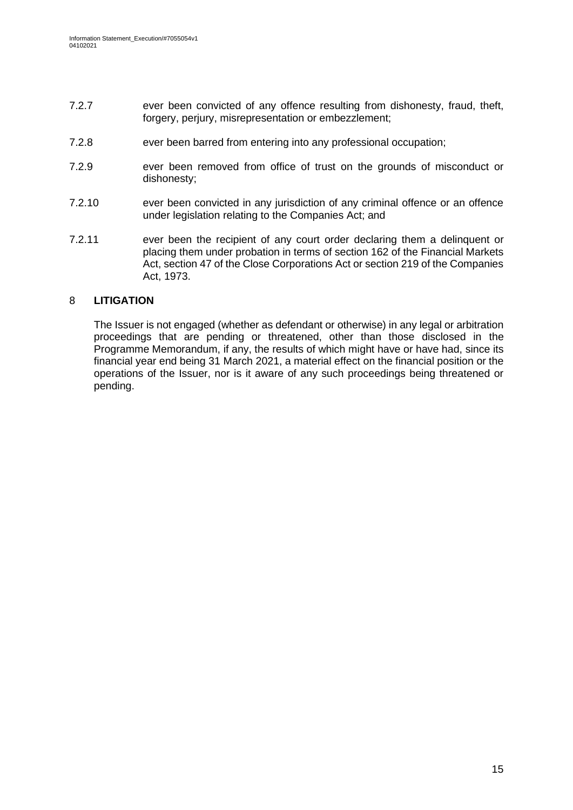- 7.2.7 ever been convicted of any offence resulting from dishonesty, fraud, theft, forgery, perjury, misrepresentation or embezzlement;
- 7.2.8 ever been barred from entering into any professional occupation;
- 7.2.9 ever been removed from office of trust on the grounds of misconduct or dishonesty;
- 7.2.10 ever been convicted in any jurisdiction of any criminal offence or an offence under legislation relating to the Companies Act; and
- 7.2.11 ever been the recipient of any court order declaring them a delinquent or placing them under probation in terms of section 162 of the Financial Markets Act, section 47 of the Close Corporations Act or section 219 of the Companies Act, 1973.

### 8 **LITIGATION**

The Issuer is not engaged (whether as defendant or otherwise) in any legal or arbitration proceedings that are pending or threatened, other than those disclosed in the Programme Memorandum, if any, the results of which might have or have had, since its financial year end being 31 March 2021, a material effect on the financial position or the operations of the Issuer, nor is it aware of any such proceedings being threatened or pending.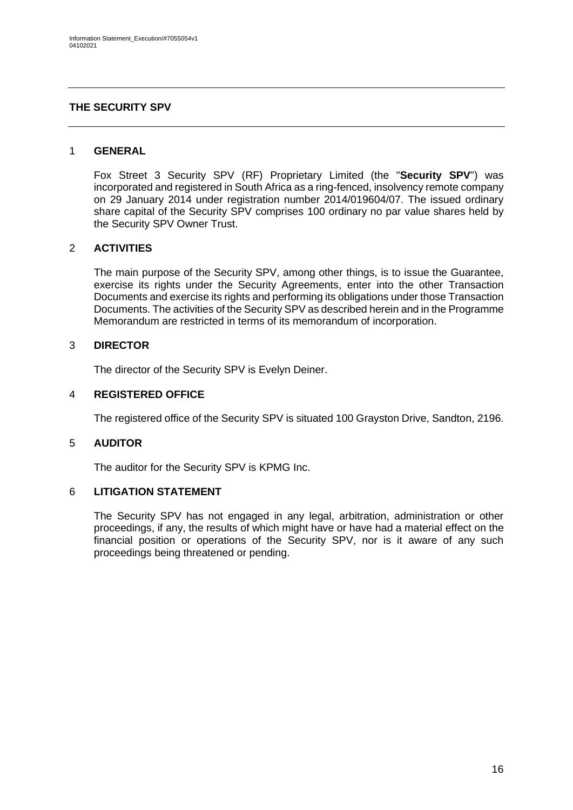### <span id="page-15-0"></span>**THE SECURITY SPV**

### 1 **GENERAL**

Fox Street 3 Security SPV (RF) Proprietary Limited (the "**Security SPV**") was incorporated and registered in South Africa as a ring-fenced, insolvency remote company on 29 January 2014 under registration number 2014/019604/07. The issued ordinary share capital of the Security SPV comprises 100 ordinary no par value shares held by the Security SPV Owner Trust.

### 2 **ACTIVITIES**

The main purpose of the Security SPV, among other things, is to issue the Guarantee, exercise its rights under the Security Agreements, enter into the other Transaction Documents and exercise its rights and performing its obligations under those Transaction Documents. The activities of the Security SPV as described herein and in the Programme Memorandum are restricted in terms of its memorandum of incorporation.

### 3 **DIRECTOR**

The director of the Security SPV is Evelyn Deiner.

### 4 **REGISTERED OFFICE**

The registered office of the Security SPV is situated 100 Grayston Drive, Sandton, 2196.

#### 5 **AUDITOR**

The auditor for the Security SPV is KPMG Inc.

### 6 **LITIGATION STATEMENT**

The Security SPV has not engaged in any legal, arbitration, administration or other proceedings, if any, the results of which might have or have had a material effect on the financial position or operations of the Security SPV, nor is it aware of any such proceedings being threatened or pending.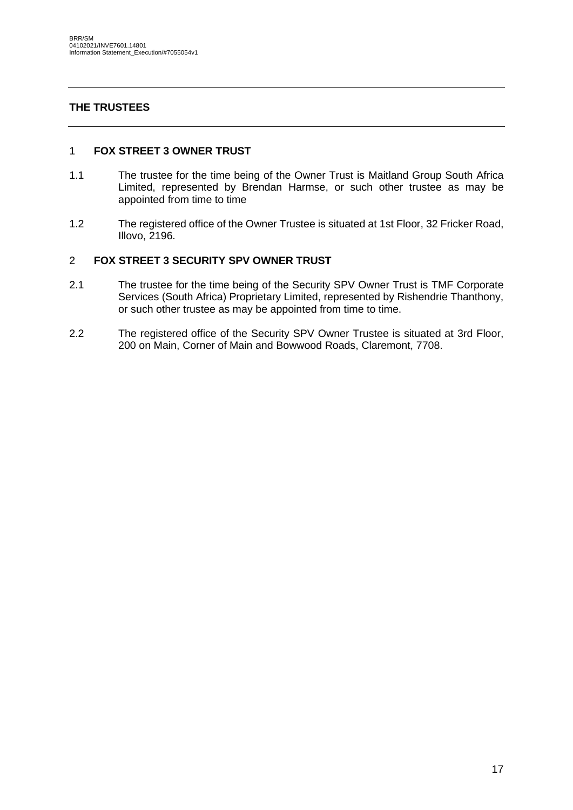# <span id="page-16-0"></span>**THE TRUSTEES**

### 1 **FOX STREET 3 OWNER TRUST**

- 1.1 The trustee for the time being of the Owner Trust is Maitland Group South Africa Limited, represented by Brendan Harmse, or such other trustee as may be appointed from time to time
- 1.2 The registered office of the Owner Trustee is situated at 1st Floor, 32 Fricker Road, Illovo, 2196.

### 2 **FOX STREET 3 SECURITY SPV OWNER TRUST**

- 2.1 The trustee for the time being of the Security SPV Owner Trust is TMF Corporate Services (South Africa) Proprietary Limited, represented by Rishendrie Thanthony, or such other trustee as may be appointed from time to time.
- 2.2 The registered office of the Security SPV Owner Trustee is situated at 3rd Floor, 200 on Main, Corner of Main and Bowwood Roads, Claremont, 7708.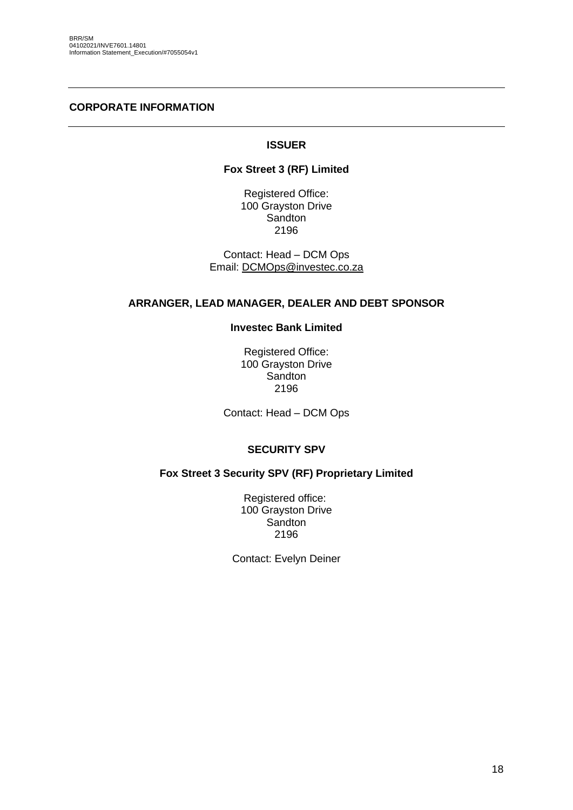### <span id="page-17-0"></span>**CORPORATE INFORMATION**

### **ISSUER**

### **Fox Street 3 (RF) Limited**

Registered Office: 100 Grayston Drive **Sandton** 2196

Contact: Head – DCM Ops Email: [DCMOps@investec.co.za](mailto:DCMOps@investec.co.za)

#### **ARRANGER, LEAD MANAGER, DEALER AND DEBT SPONSOR**

### **Investec Bank Limited**

Registered Office: 100 Grayston Drive **Sandton** 2196

Contact: Head – DCM Ops

### **SECURITY SPV**

### **Fox Street 3 Security SPV (RF) Proprietary Limited**

Registered office: 100 Grayston Drive Sandton 2196

Contact: Evelyn Deiner